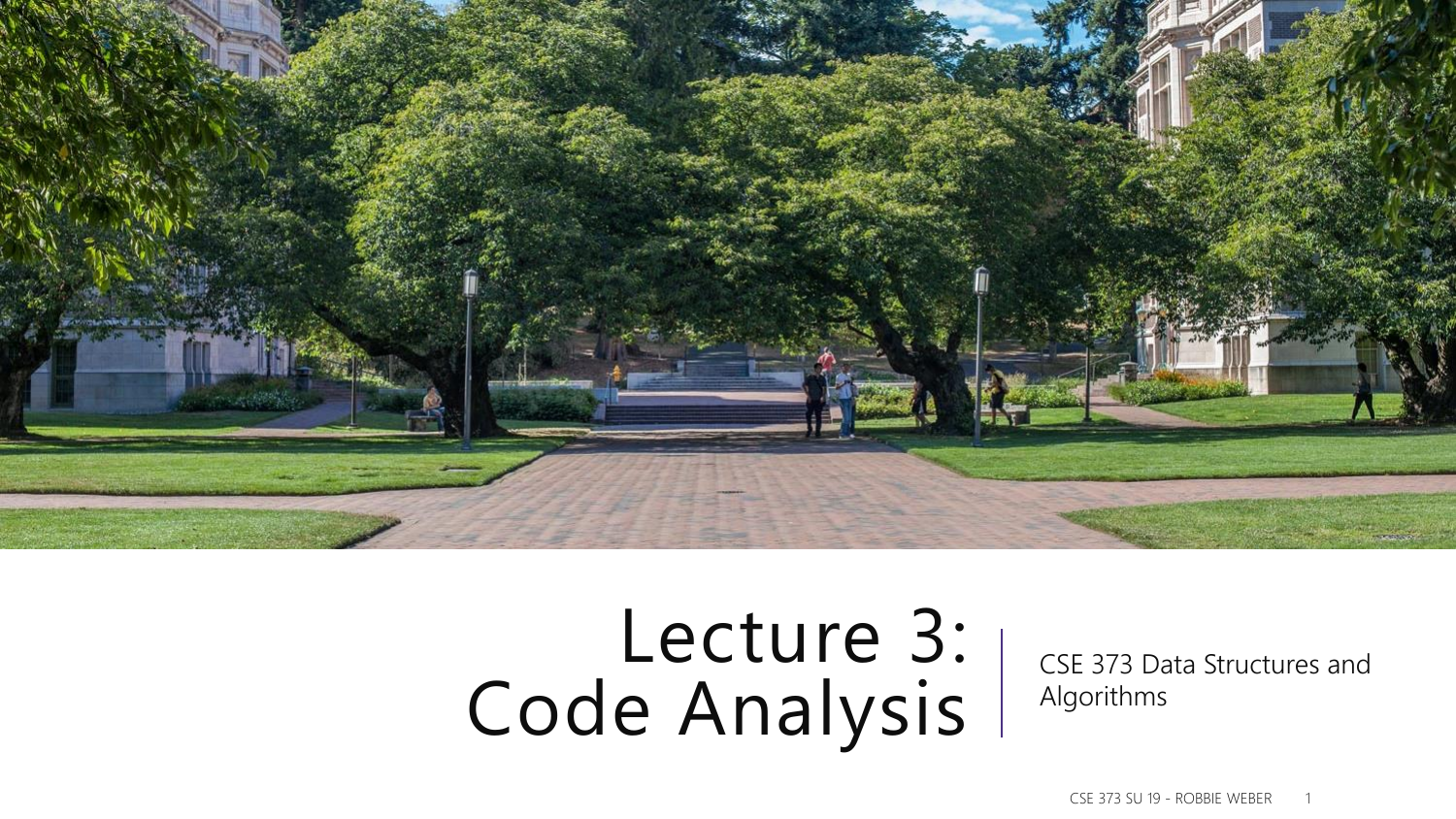

# Lecture 3: Code Analysis

CSE 373 Data Structures and Algorithms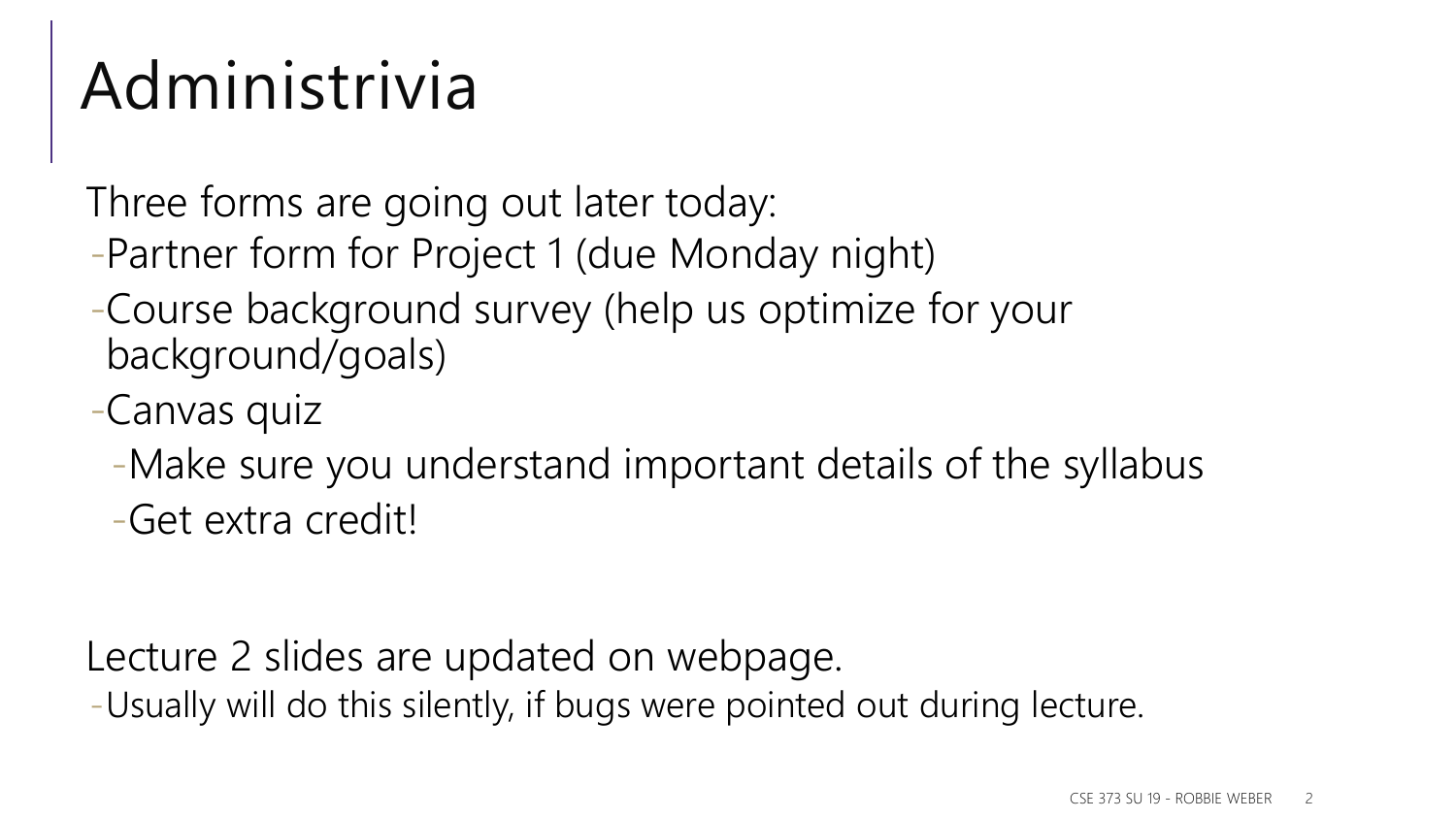# Administrivia

Three forms are going out later today:

- -Partner form for Project 1 (due Monday night)
- -Course background survey (help us optimize for your background/goals)
- -Canvas quiz
	- -Make sure you understand important details of the syllabus

-Get extra credit!

Lecture 2 slides are updated on webpage.

-Usually will do this silently, if bugs were pointed out during lecture.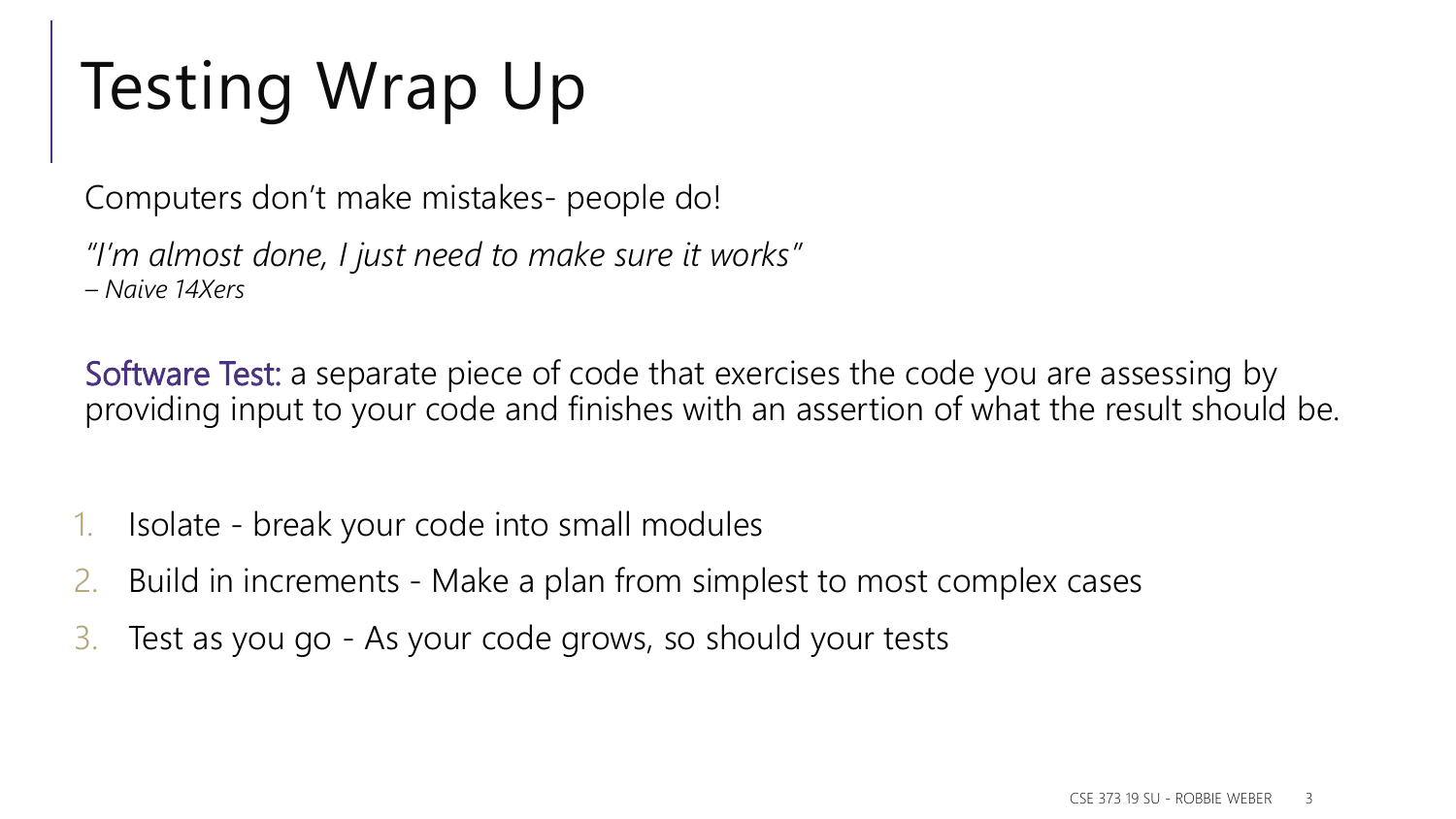# Testing Wrap Up

Computers don't make mistakes- people do!

*"I'm almost done, I just need to make sure it works" – Naive 14Xers*

Software Test: a separate piece of code that exercises the code you are assessing by providing input to your code and finishes with an assertion of what the result should be.

- 1. Isolate break your code into small modules
- 2. Build in increments Make a plan from simplest to most complex cases
- 3. Test as you go As your code grows, so should your tests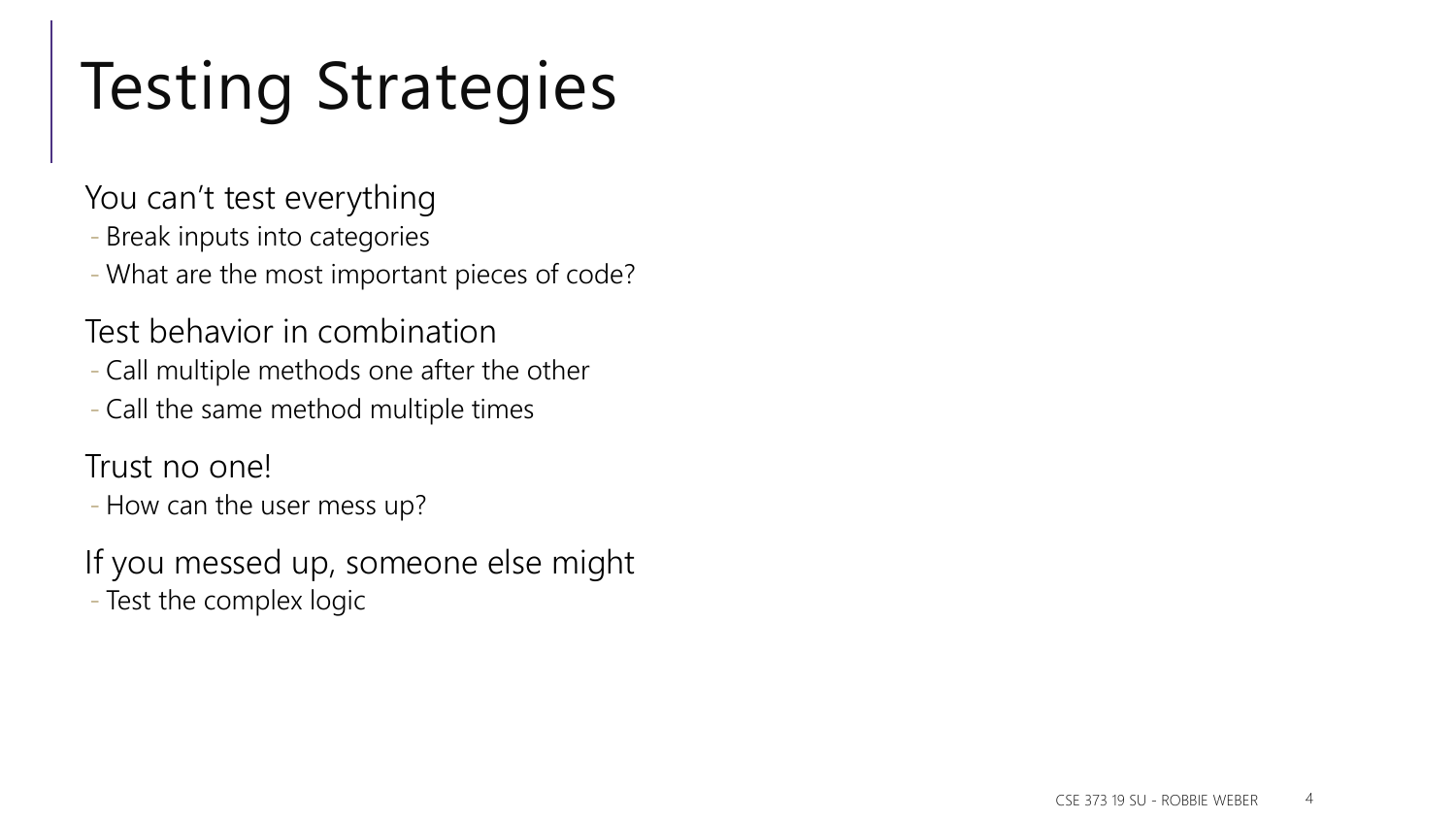# Testing Strategies

You can't test everything

- Break inputs into categories
- What are the most important pieces of code?
- Test behavior in combination
- Call multiple methods one after the other
- Call the same method multiple times

Trust no one!

- How can the user mess up?
- If you messed up, someone else might
- Test the complex logic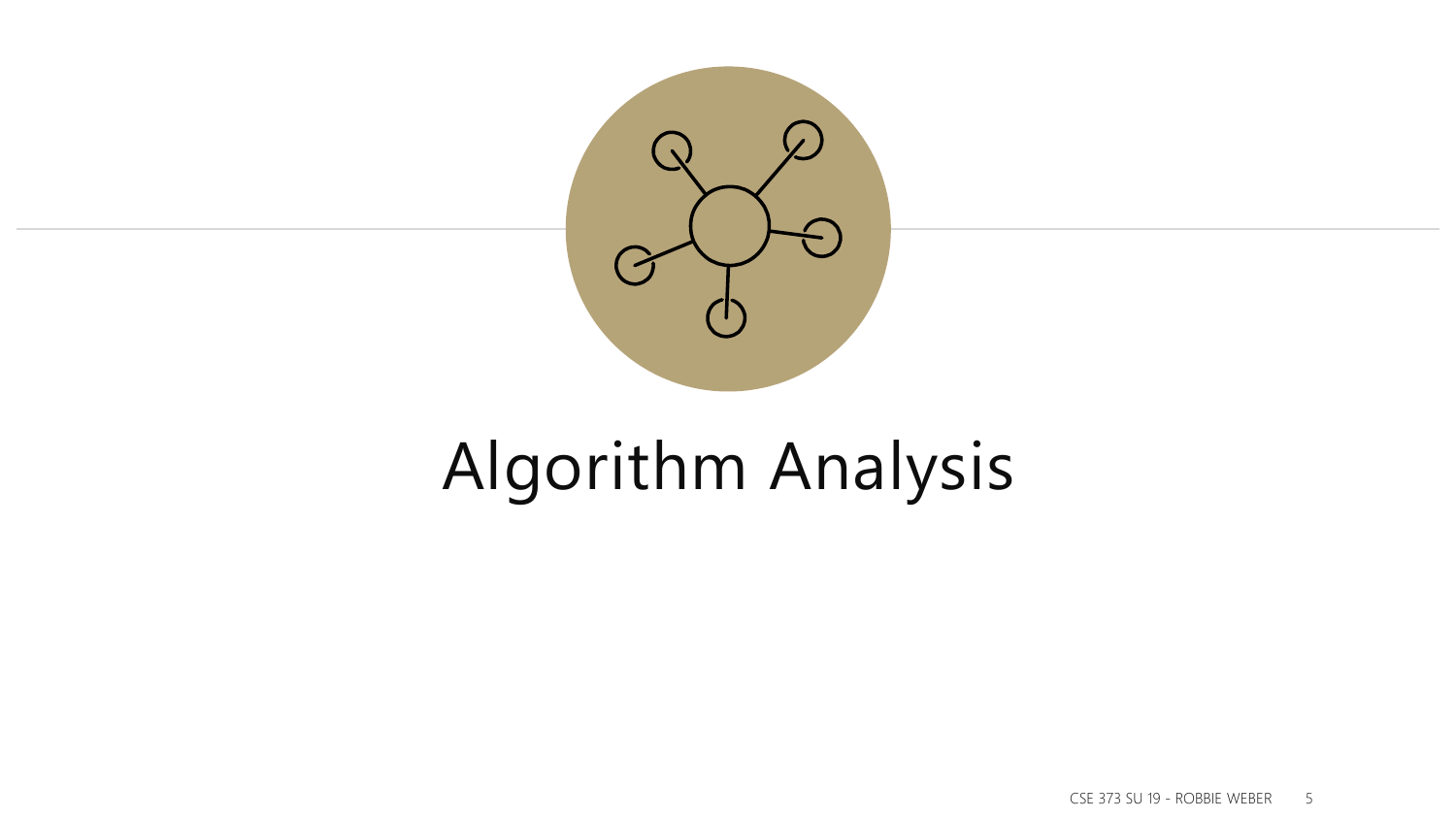

# Algorithm Analysis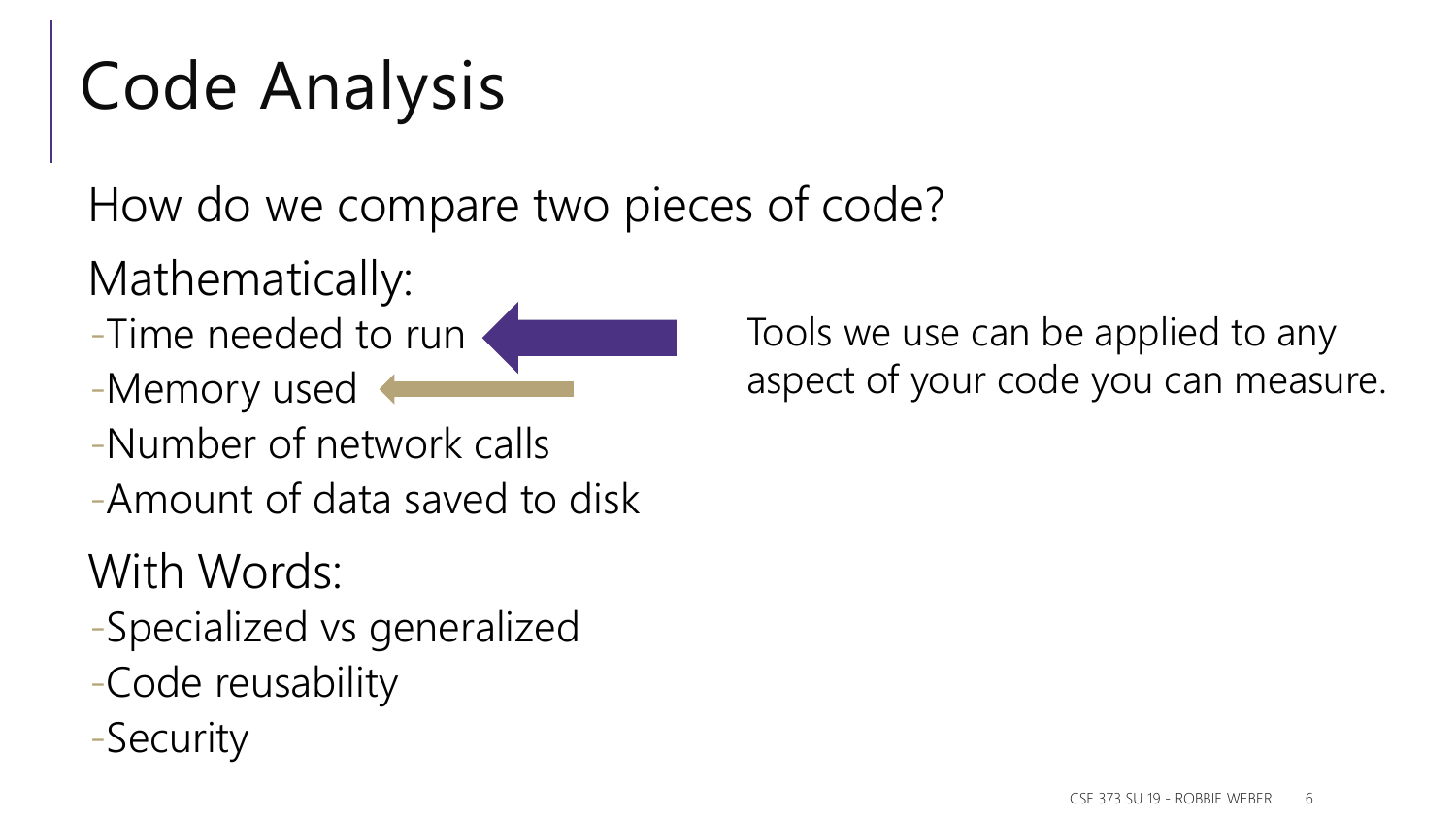# Code Analysis

How do we compare two pieces of code?

Mathematically:

- -Time needed to run
- -Memory used
- -Number of network calls
- -Amount of data saved to disk

With Words:

- -Specialized vs generalized
- -Code reusability
- -Security

Tools we use can be applied to any aspect of your code you can measure.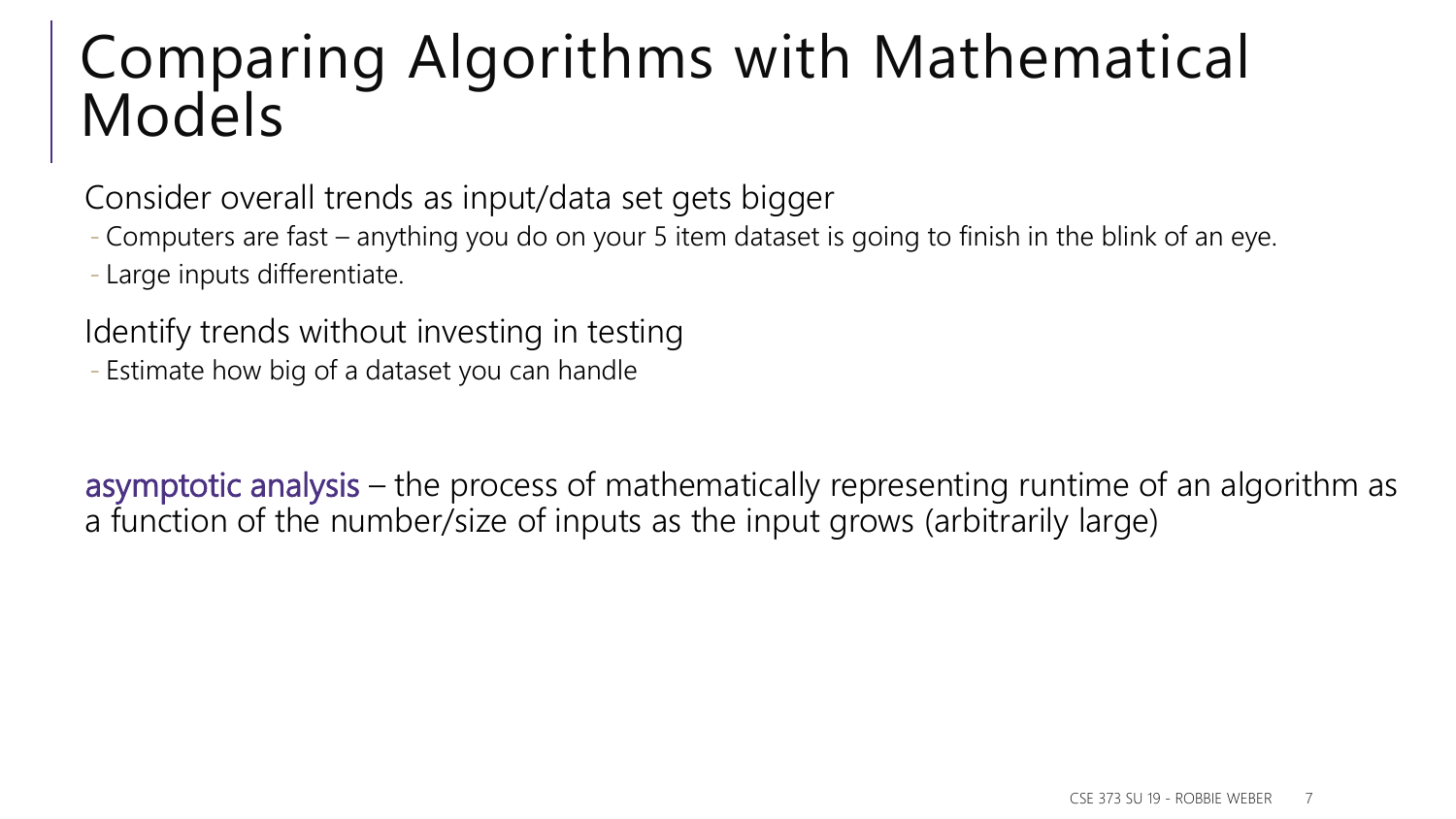#### Comparing Algorithms with Mathematical Models

Consider overall trends as input/data set gets bigger

- Computers are fast – anything you do on your 5 item dataset is going to finish in the blink of an eye.

- Large inputs differentiate.

Identify trends without investing in testing

- Estimate how big of a dataset you can handle

asymptotic analysis – the process of mathematically representing runtime of an algorithm as a function of the number/size of inputs as the input grows (arbitrarily large)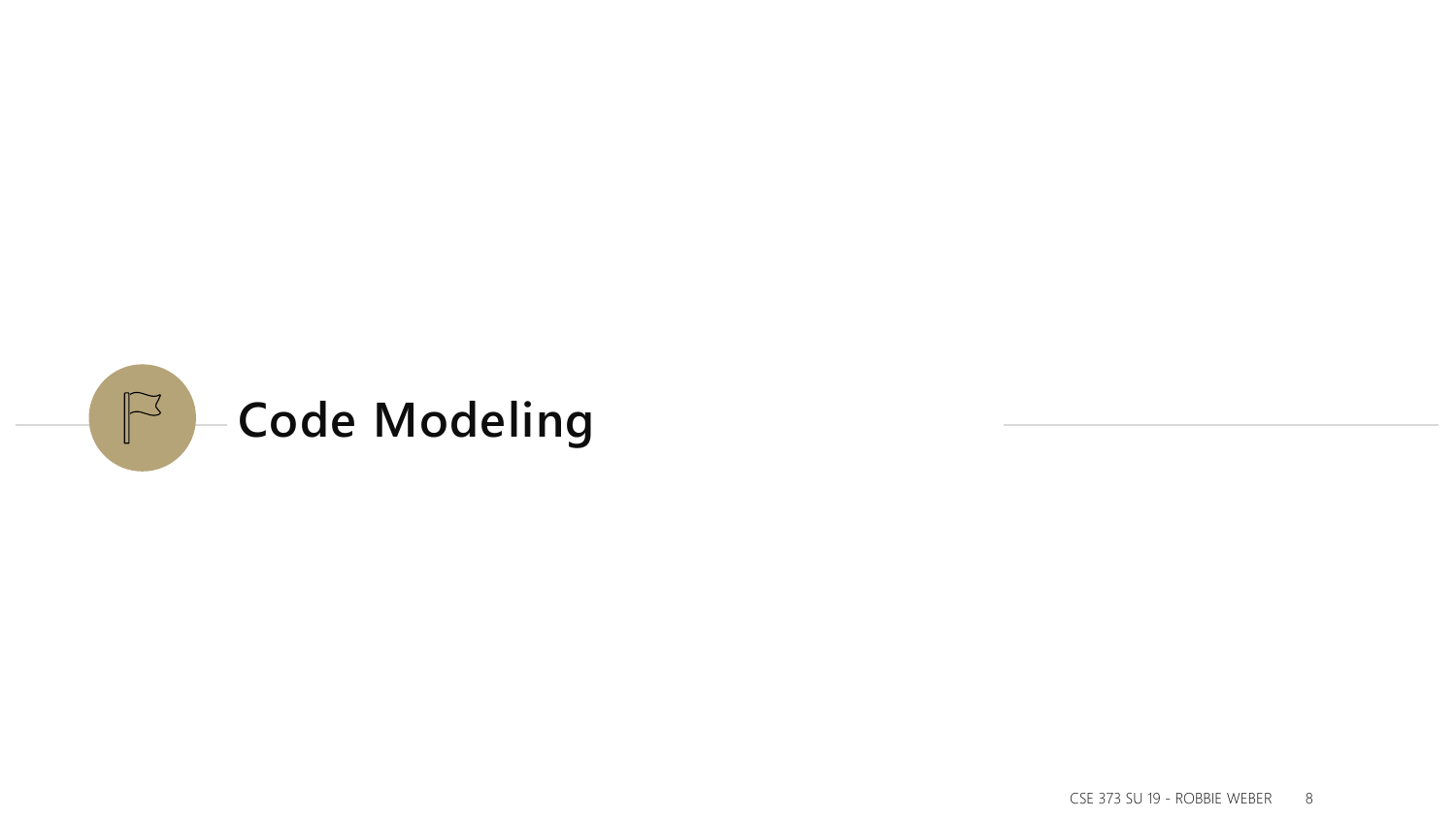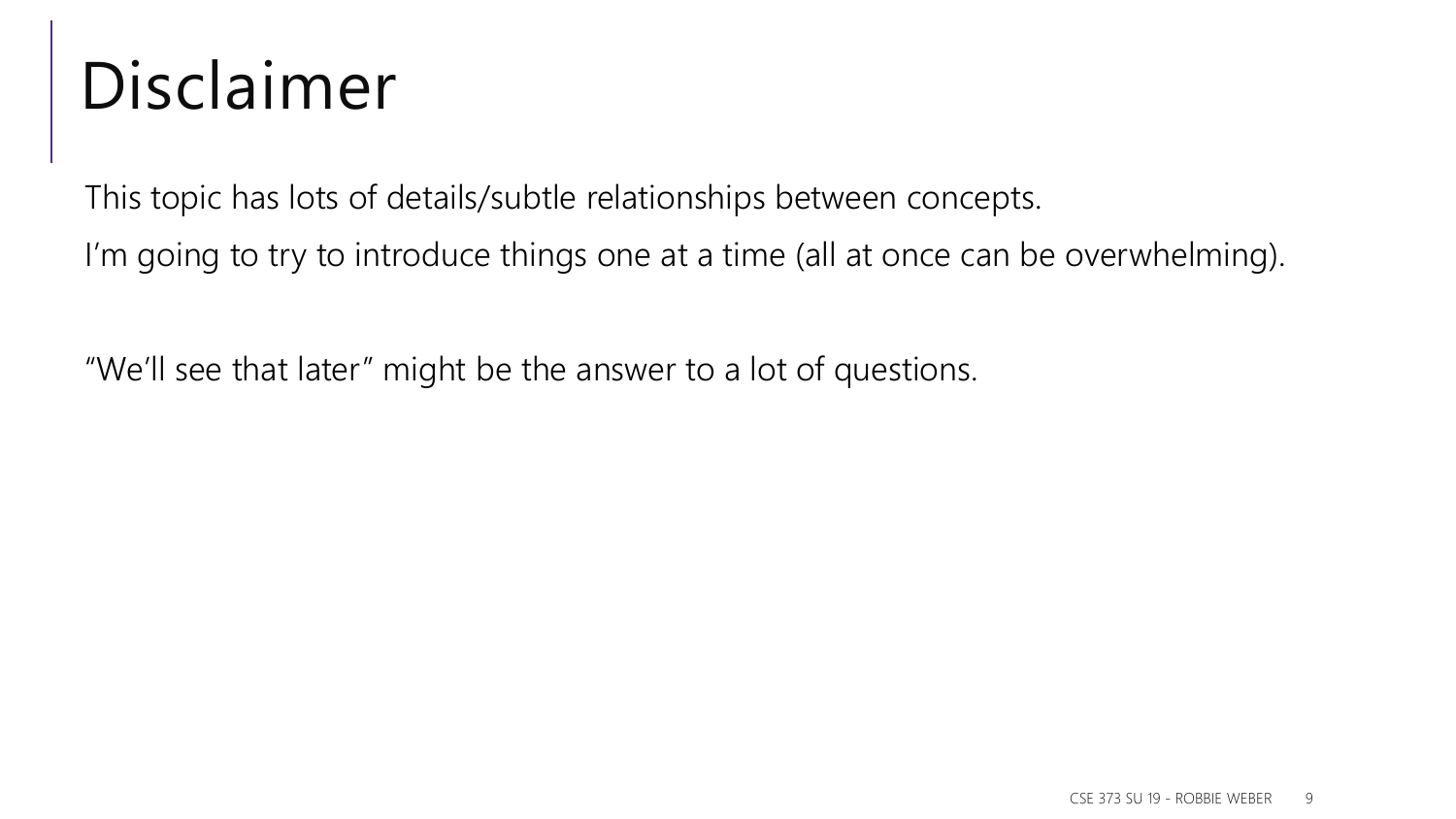### Disclaimer

This topic has lots of details/subtle relationships between concepts.

I'm going to try to introduce things one at a time (all at once can be overwhelming).

"We'll see that later" might be the answer to a lot of questions.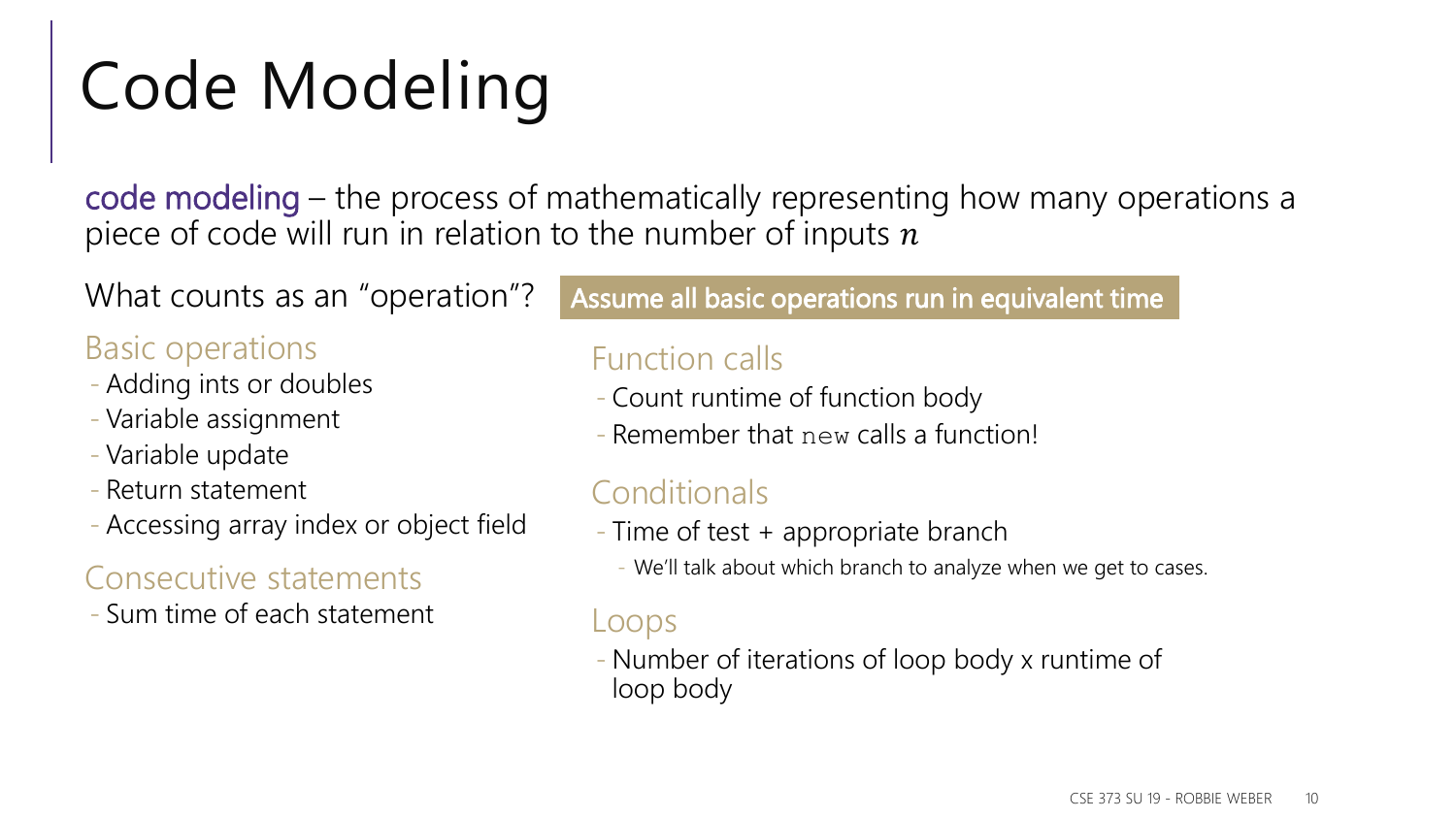# Code Modeling

code modeling – the process of mathematically representing how many operations a piece of code will run in relation to the number of inputs  $n$ 

What counts as an "operation"?

#### Basic operations

- Adding ints or doubles
- Variable assignment
- Variable update
- Return statement
- Accessing array index or object field

#### Consecutive statements

- Sum time of each statement

#### Assume all basic operations run in equivalent time

#### Function calls

- Count runtime of function body
- Remember that new calls a function!

#### **Conditionals**

- Time of test + appropriate branch
	- We'll talk about which branch to analyze when we get to cases.

#### Loops

- Number of iterations of loop body x runtime of loop body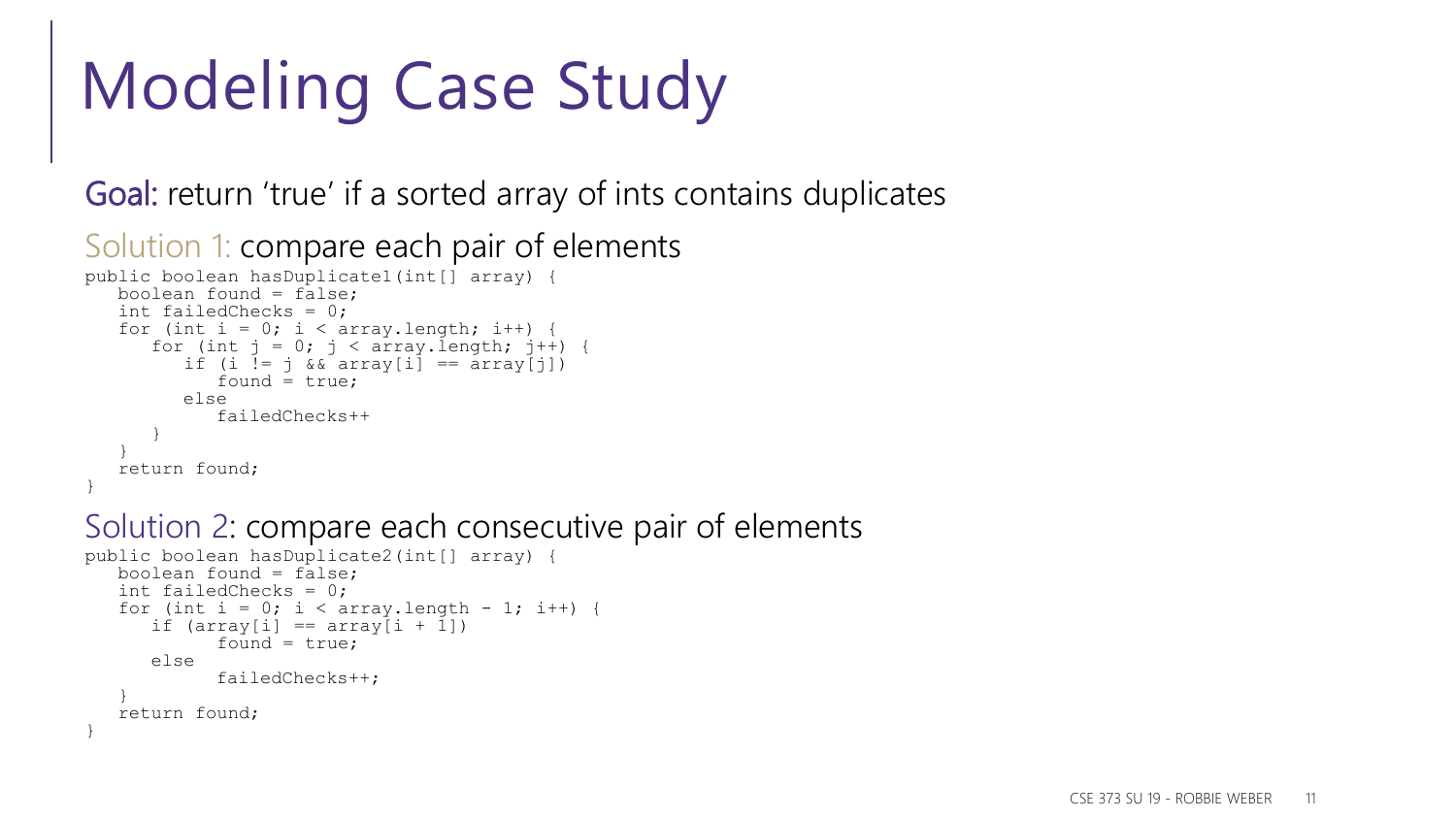# Modeling Case Study

Goal: return 'true' if a sorted array of ints contains duplicates

```
Solution 1: compare each pair of elements
public boolean hasDuplicate1(int[] array) {
   boolean found = false;
   int failedChecks = 0;
   for (int i = 0; i < array.length; i++) {
      for (int j = 0; j < \text{array.length}; j++) {
         if (i := j \& x \text{ array}[i] == array[i])found = true;
         else
            failedChecks++
      }
   }
   return found;
}
```
#### Solution 2: compare each consecutive pair of elements

```
public boolean hasDuplicate2(int[] array) {
   boolean found = false;
   int failedChecks = 0;
   for (int i = 0; i < array.length - 1; i++) {
      if (\arctan[i] == \arctan[i + 1])found = true;
      else
            failedChecks++;
   }
   return found;
}
```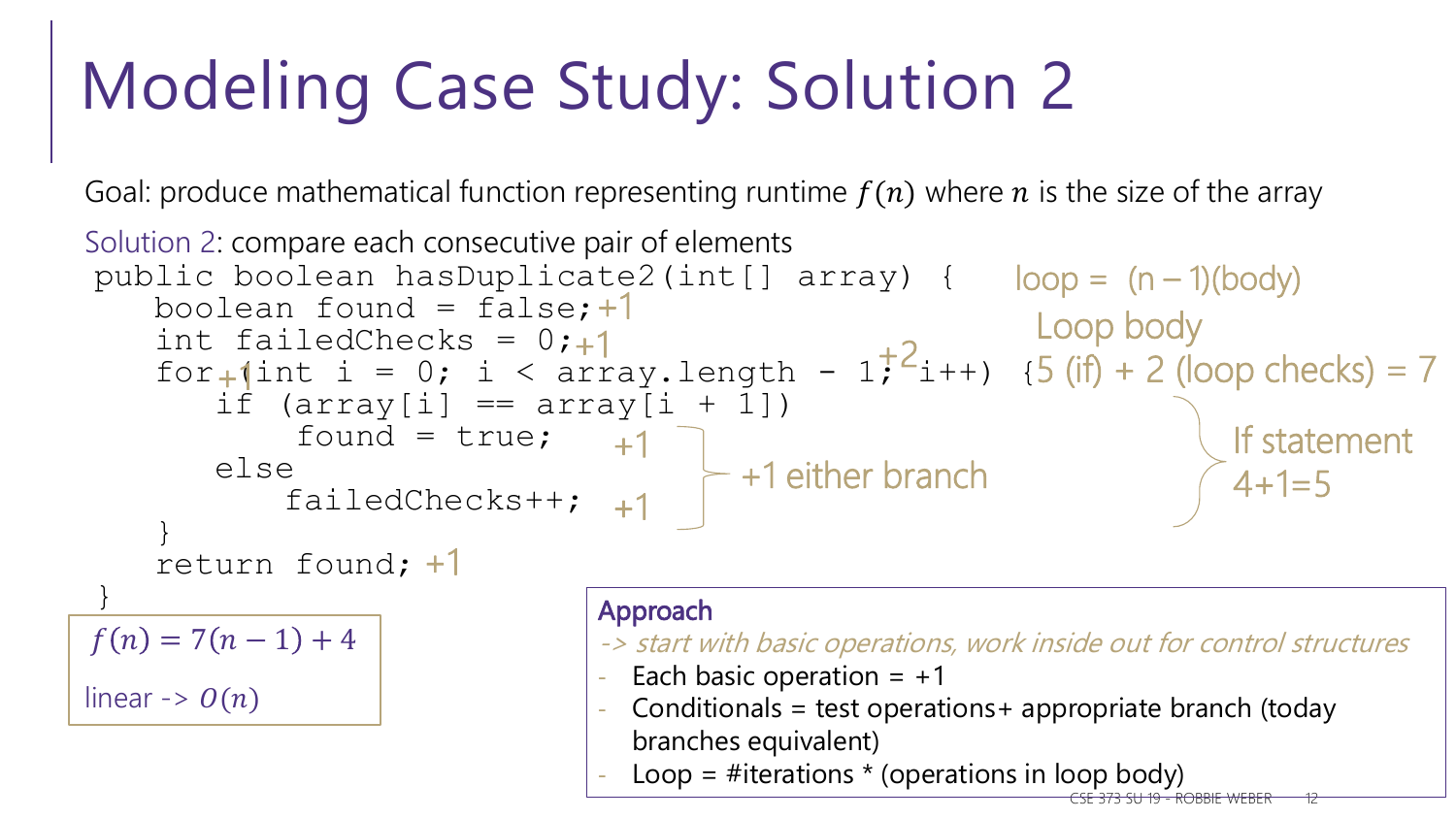# Modeling Case Study: Solution 2

Goal: produce mathematical function representing runtime  $f(n)$  where n is the size of the array

```
Solution 2: compare each consecutive pair of elements
public boolean hasDuplicate2(int[] array) {
loop = (n – 1)(body)
    boolean found = false; +1int failedChecks = 0;
    for<sub>+</sub>(int i = 0; i < array.length - 1; 'i++) {
        if (\text{array}[i] == \text{array}[i + 1])found = true; +1else
             failedChecks++;
+1
    }
    return found;
+1
}
linear \rightarrow O(n)+1
                                                    +2
                                                                           If statement 
                                                                           4+1=5f(n) = 7(n - 1) + 4Approach
                                  -> start with basic operations, work inside out for control structures
                                 - Each basic operation = +1Conditionals = test operations + appropriate branch (today
                                    branches equivalent)
                                    Loop = #iterations * (operations in loop body)
                                           +1 either branch
        +1
                                +1
                                 +1 Loop body
                                                              5 (if) + 2 (loop checks) = 7
```
CSE 373 SU 19 - ROBBIE WEBER 12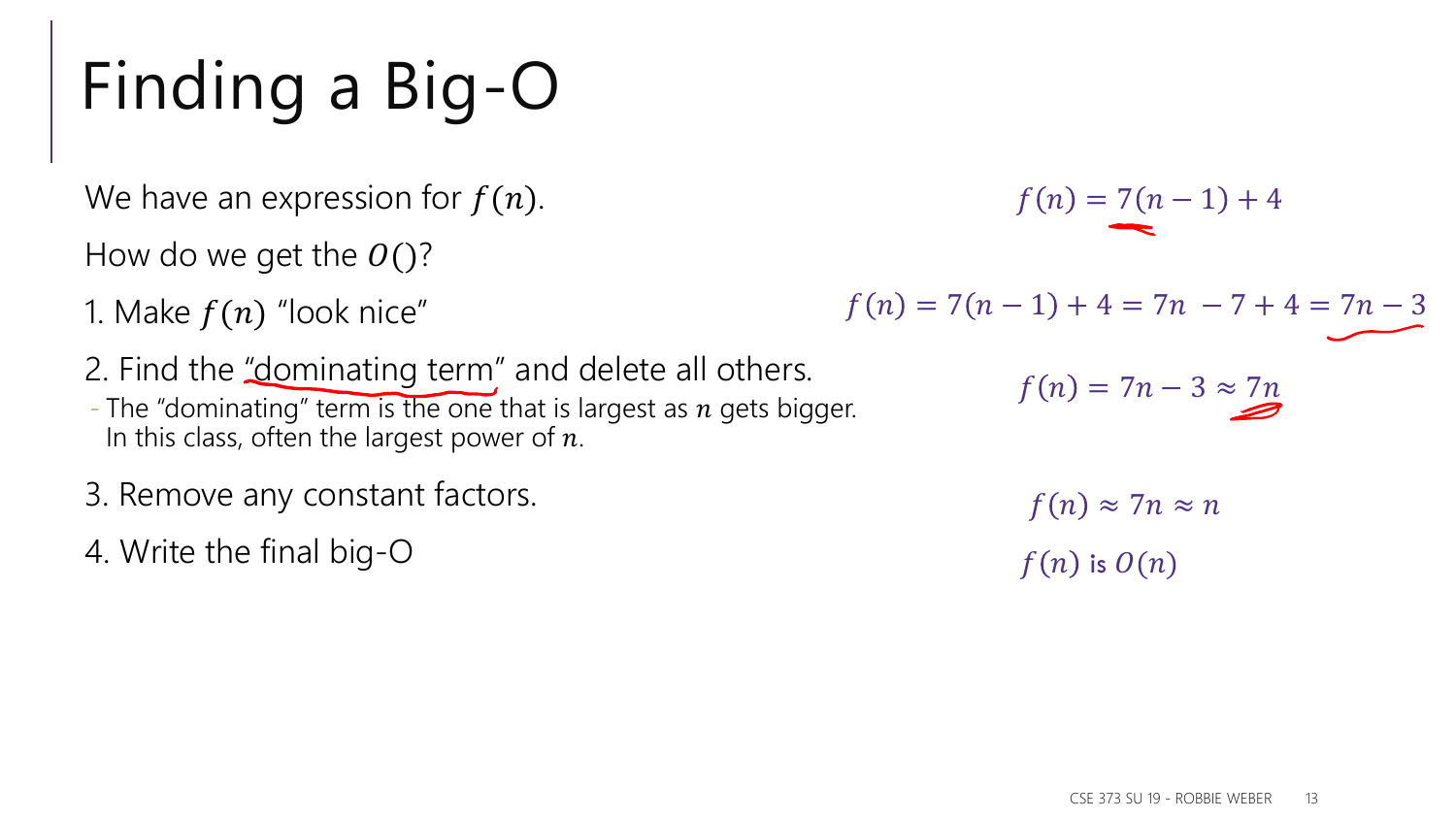# Finding a Big-O

We have an expression for  $f(n)$ .

How do we get the  $O( )$ ?

1. Make  $f(n)$  "look nice"

2. Find the "dominating term" and delete all others. - The "dominating" term is the one that is largest as  $n$  gets bigger. In this class, often the largest power of  $n$ .

- 3. Remove any constant factors.
- 4. Write the final big-O

 $f(n) = 7(n-1) + 4$  $f(n) = 7(n-1) + 4 = 7n - 7 + 4 = 7n - 3$  $f(n) = 7n - 3 \approx 7n$ 

$$
f(n) \approx 7n \approx n
$$
  

$$
f(n) \text{ is } O(n)
$$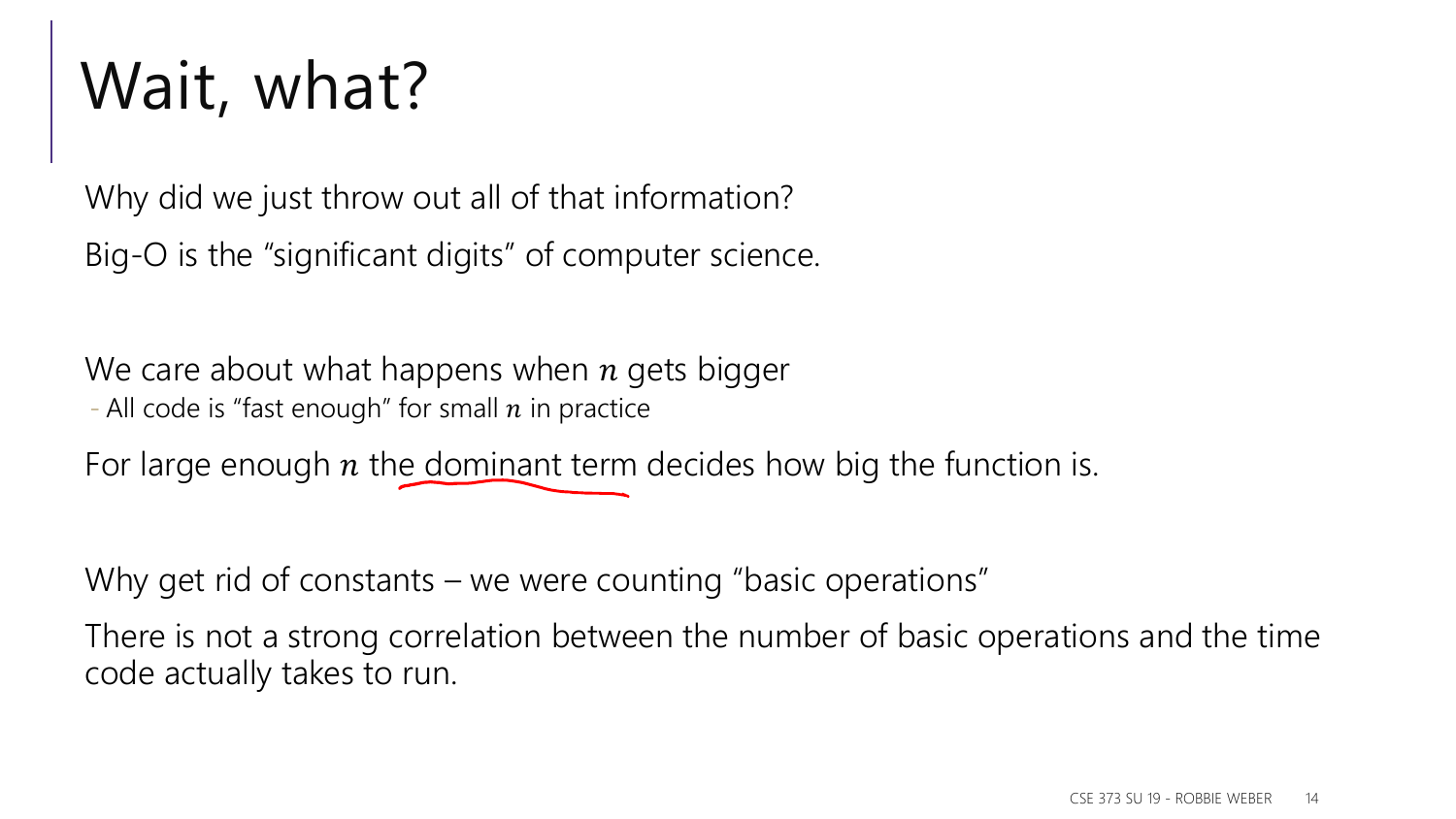# Wait, what?

Why did we just throw out all of that information? Big-O is the "significant digits" of computer science.

We care about what happens when  $n$  gets bigger - All code is "fast enough" for small  $n$  in practice

For large enough  $n$  the dominant term decides how big the function is.

Why get rid of constants – we were counting "basic operations"

There is not a strong correlation between the number of basic operations and the time code actually takes to run.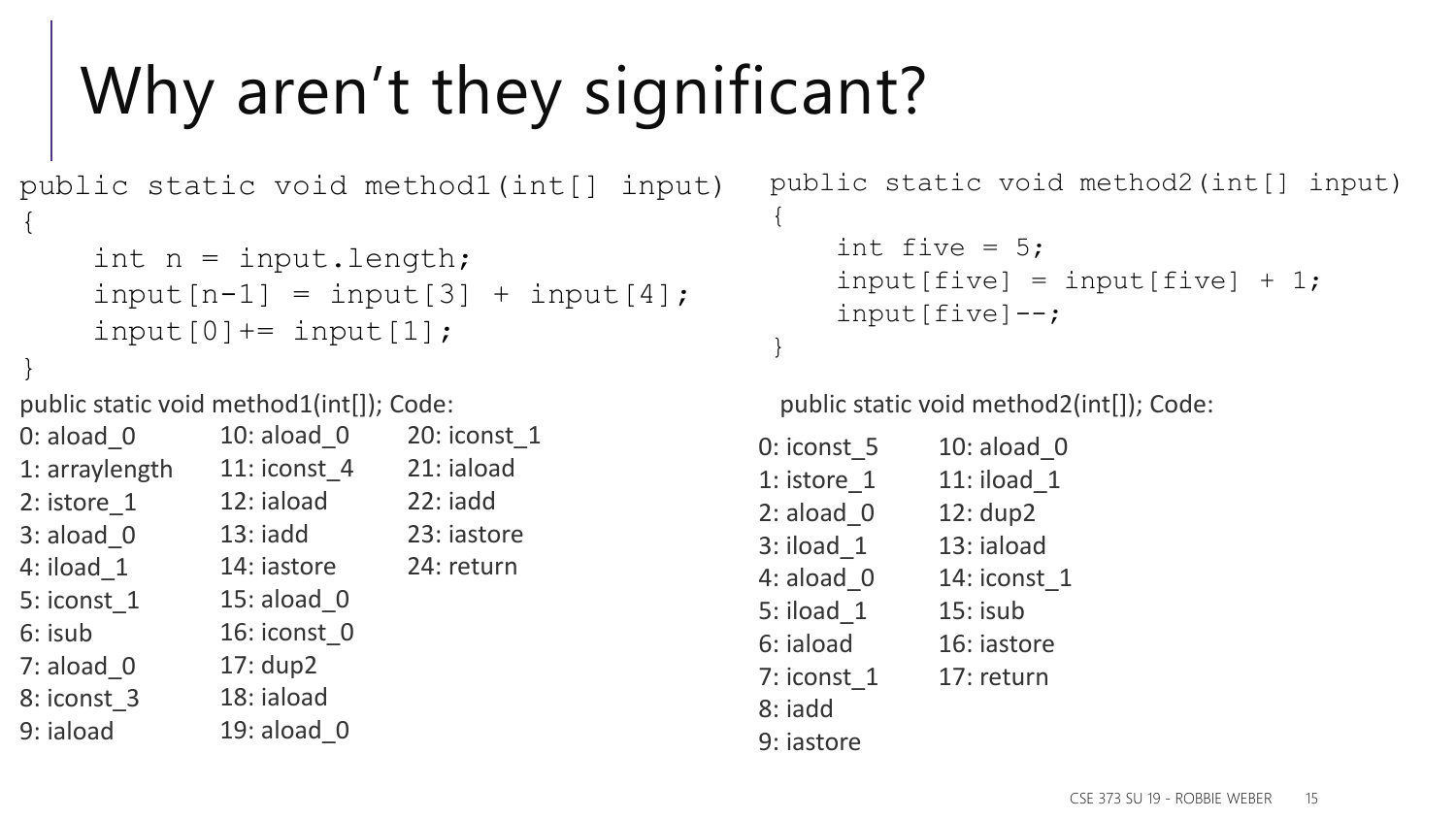# Why aren't they significant?

```
public static void method1(int[] input)
{
    int n = input.length;input[n-1] = input[3] + input[4];input[0] += input[1];}
```
public static void method1(int[]); Code:

| $0:$ aload $0$  | 10: aload 0  | 20: iconst 1 |
|-----------------|--------------|--------------|
| 1: arraylength  | 11: iconst 4 | 21: iaload   |
| $2:$ istore $1$ | 12: iaload   | $22:$ iadd   |
| $3:$ aload $0$  | $13:$ iadd   | 23: iastore  |
| 4: iload 1      | 14: iastore  | 24: return   |
| 5: iconst 1     | 15: aload 0  |              |
| 6: isub         | 16: iconst 0 |              |
| $7:$ aload 0    | 17: dup2     |              |
| 8: iconst 3     | 18: iaload   |              |
| 9: iaload       | 19: aload 0  |              |

```
public static void method2(int[] input)
{
    int five = 5;
    input[five] = input[five] + 1;input[five]--;}
```
public static void method2(int[]); Code:

| 0: iconst 5    | 10: aload 0  |
|----------------|--------------|
| 1: istore 1    | 11: iload 1  |
| $2:$ aload $0$ | 12: dup2     |
| $3:$ iload $1$ | 13: iaload   |
| 4: aload 0     | 14: iconst 1 |
| 5: iload 1     | $15:$ isub   |
| 6: iaload      | 16: iastore  |
| 7: iconst 1    | 17: return   |
| 8: iadd        |              |
| 9: iastore     |              |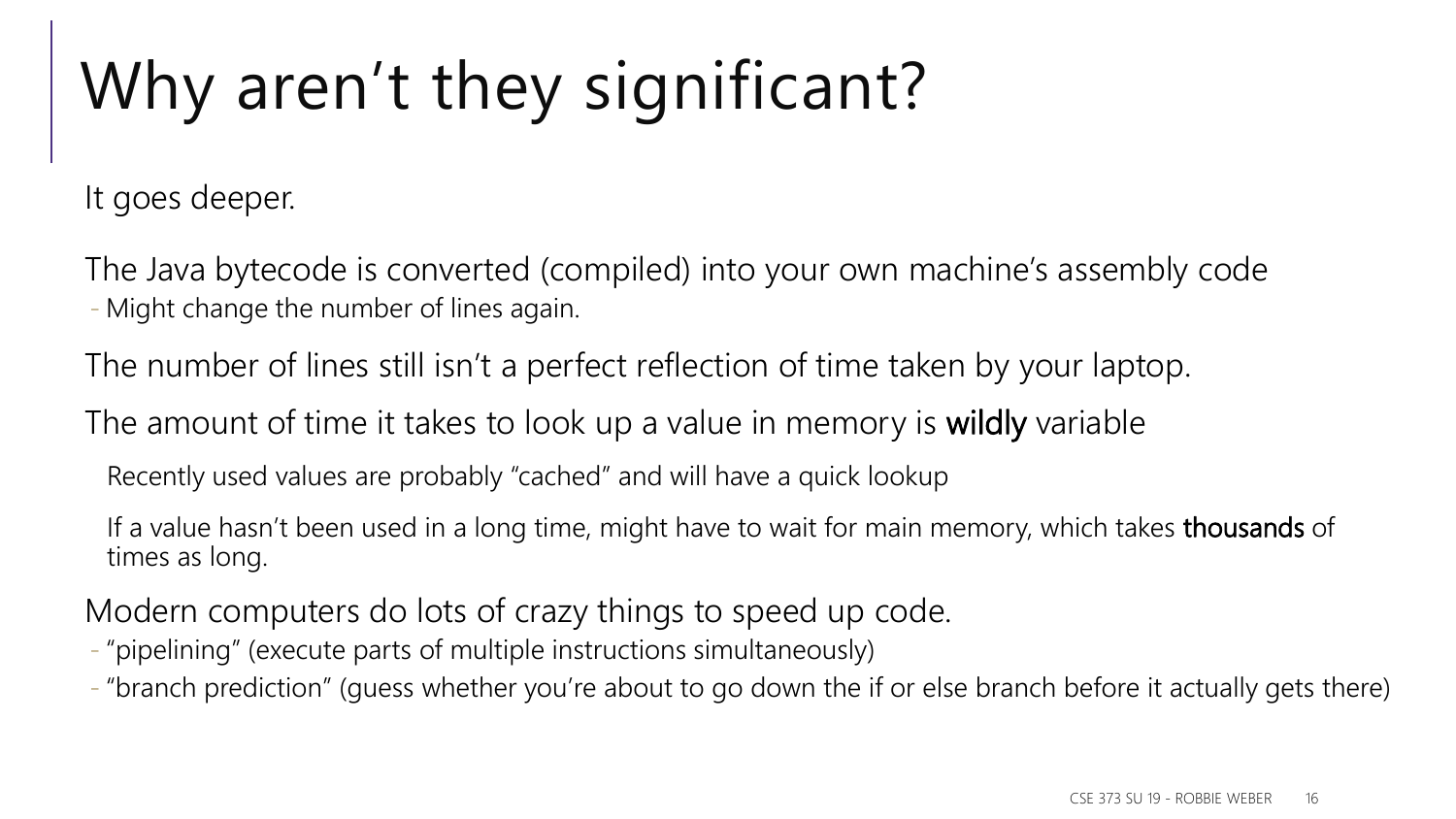# Why aren't they significant?

It goes deeper.

The Java bytecode is converted (compiled) into your own machine's assembly code - Might change the number of lines again.

The number of lines still isn't a perfect reflection of time taken by your laptop.

The amount of time it takes to look up a value in memory is wildly variable

Recently used values are probably "cached" and will have a quick lookup

If a value hasn't been used in a long time, might have to wait for main memory, which takes thousands of times as long.

Modern computers do lots of crazy things to speed up code.

- "pipelining" (execute parts of multiple instructions simultaneously)
- "branch prediction" (guess whether you're about to go down the if or else branch before it actually gets there)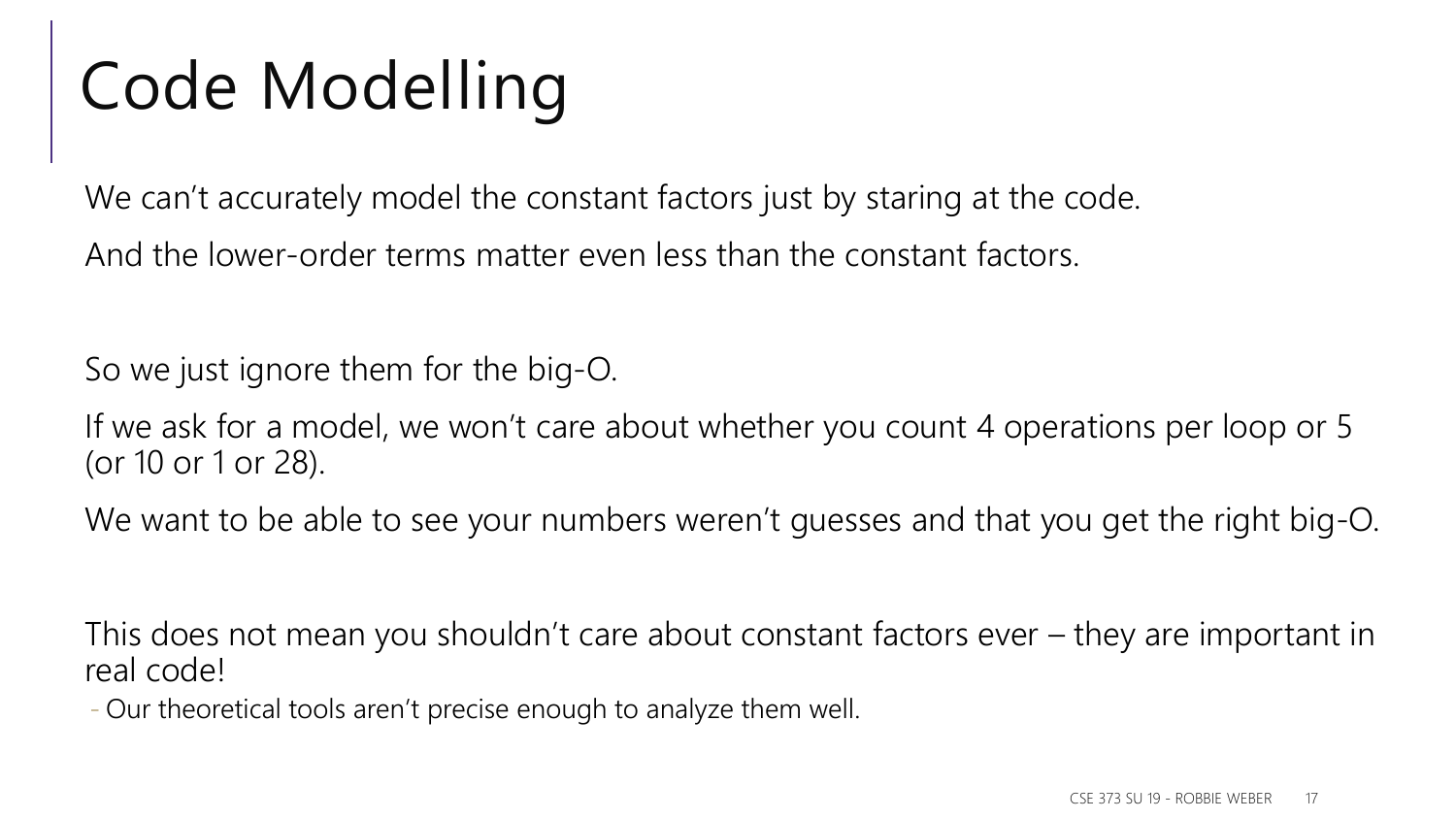# Code Modelling

We can't accurately model the constant factors just by staring at the code. And the lower-order terms matter even less than the constant factors.

So we just ignore them for the big-O.

If we ask for a model, we won't care about whether you count 4 operations per loop or 5 (or 10 or 1 or 28).

We want to be able to see your numbers weren't guesses and that you get the right big-O.

This does not mean you shouldn't care about constant factors ever – they are important in real code!

- Our theoretical tools aren't precise enough to analyze them well.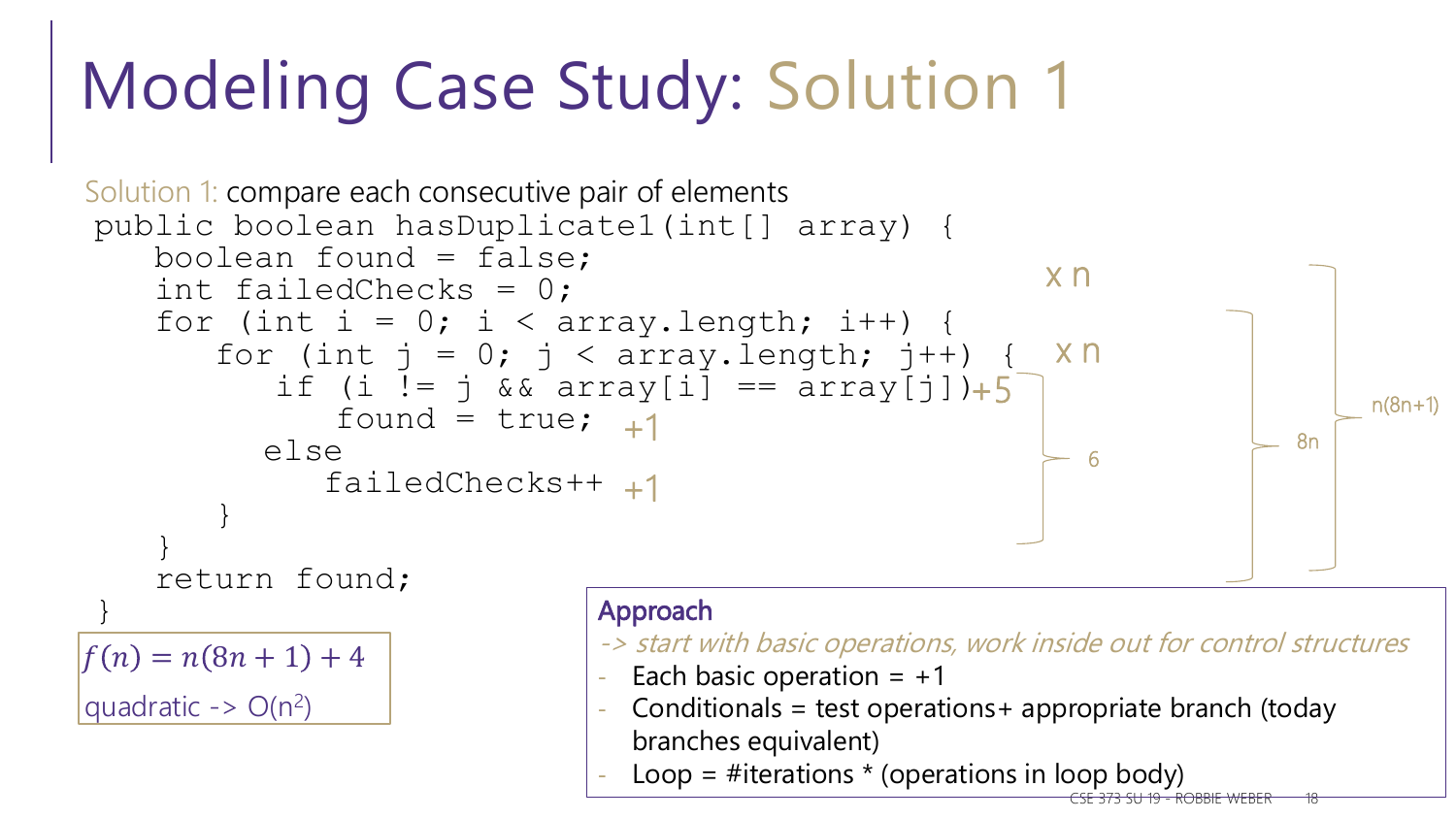# Modeling Case Study: Solution 1



CSE 373 SU 19 - ROBBIE WEBER 18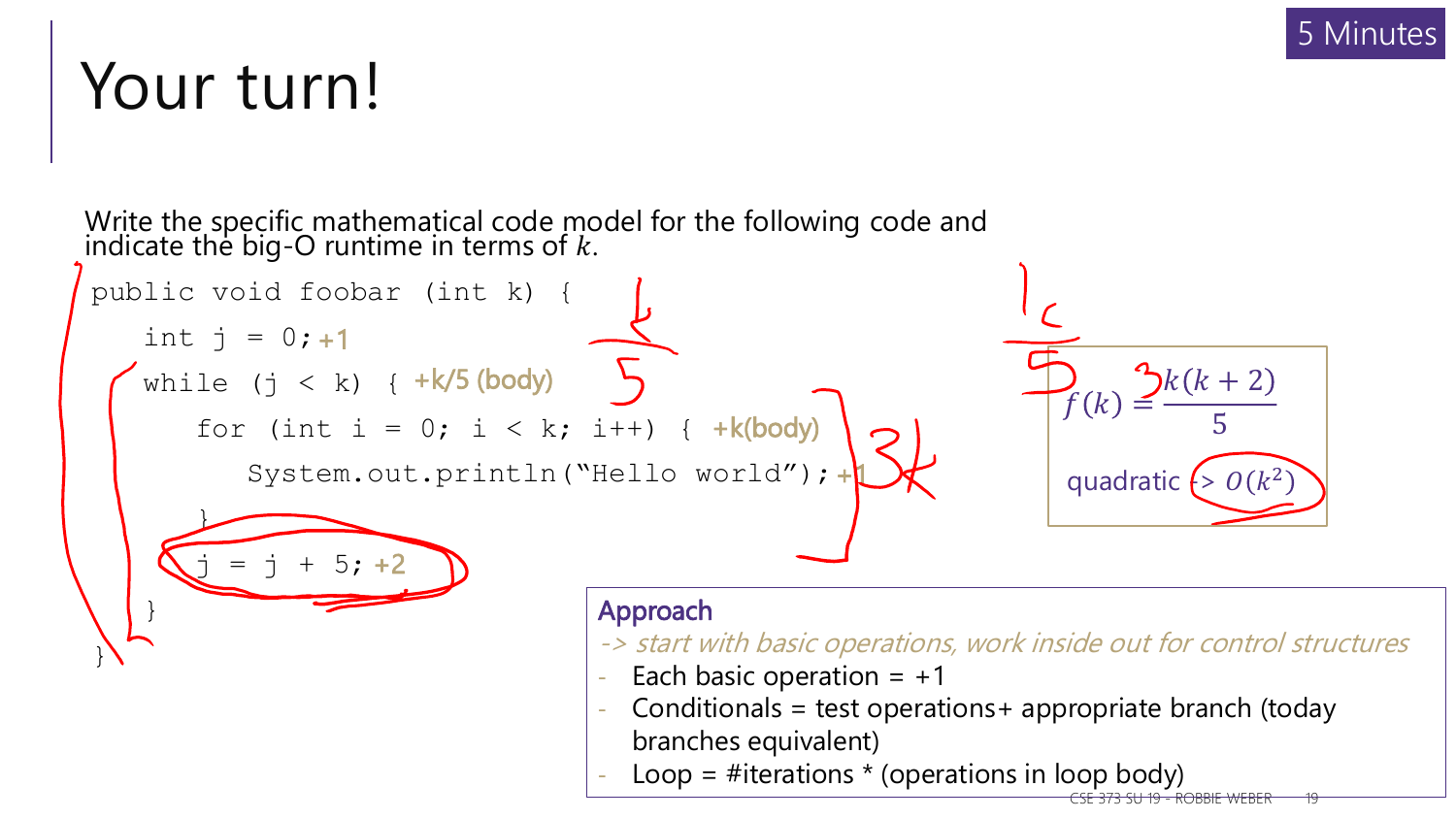### Your turn!



CSE 373 SU 19 - ROBBIE WEBER 19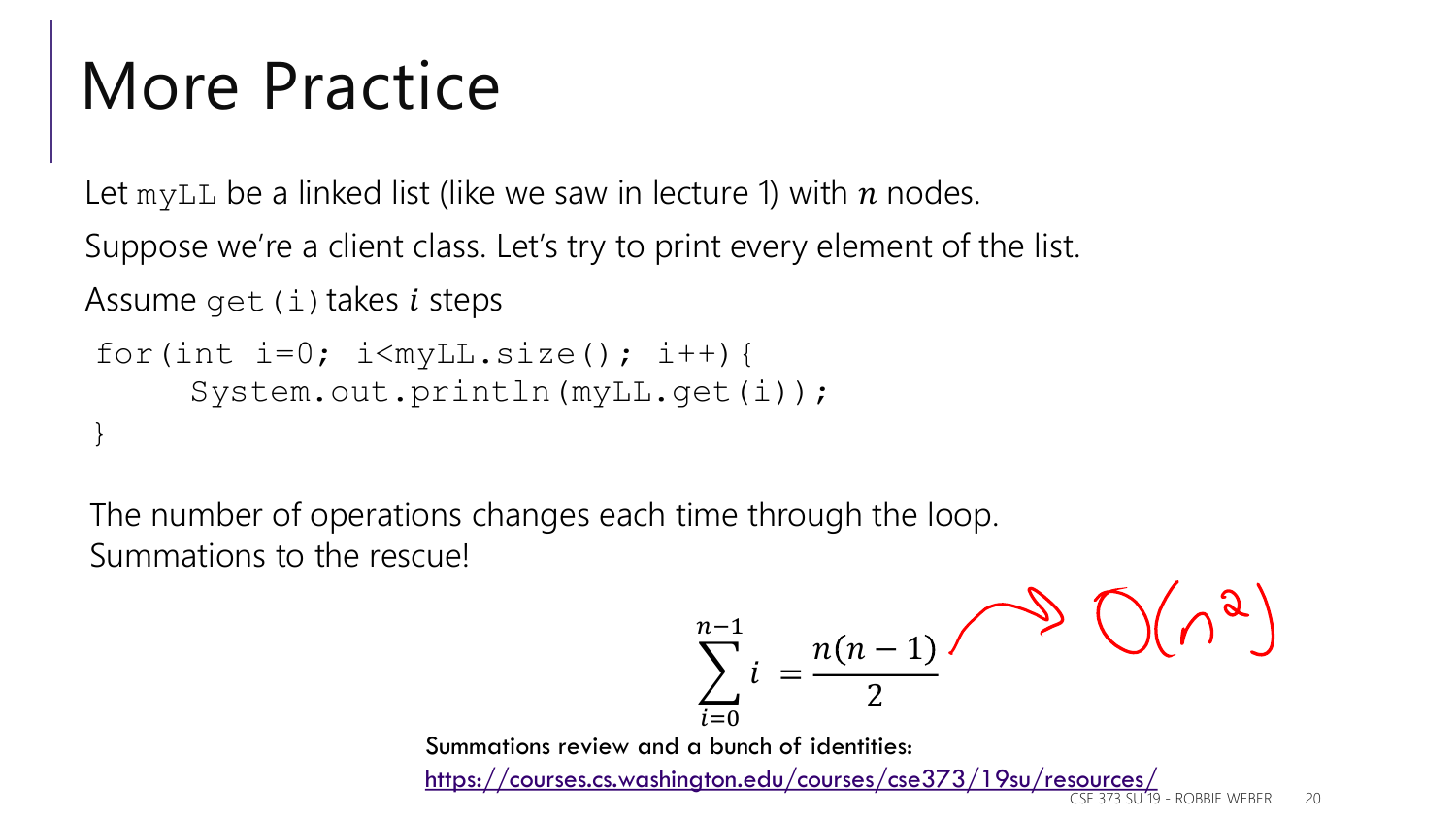# More Practice

Let myLL be a linked list (like we saw in lecture 1) with  $n$  nodes.

Suppose we're a client class. Let's try to print every element of the list.

Assume get  $(i)$  takes *i* steps

```
for(int i=0; i<myLL.size(); i++){
     System.out.println(myLL.get(i));
}
```
The number of operations changes each time through the loop. Summations to the rescue!

$$
\sum_{i=0}^{n-1} i = \frac{n(n-1)}{2} \qquad \qquad \bigcirc \left( \bigwedge^2 \right)
$$

Summations review and a bunch of identities: <https://courses.cs.washington.edu/courses/cse373/19su/resources/>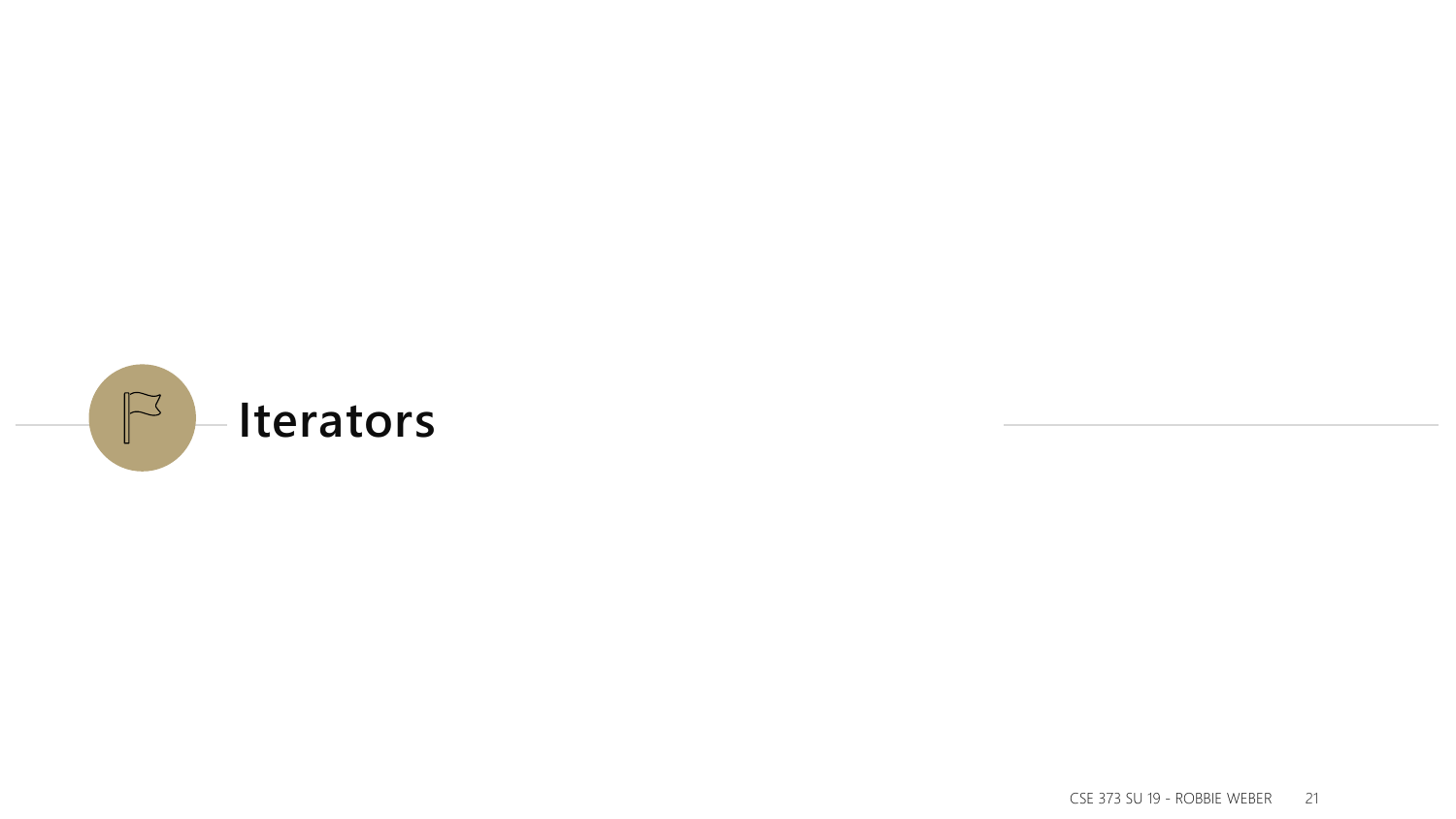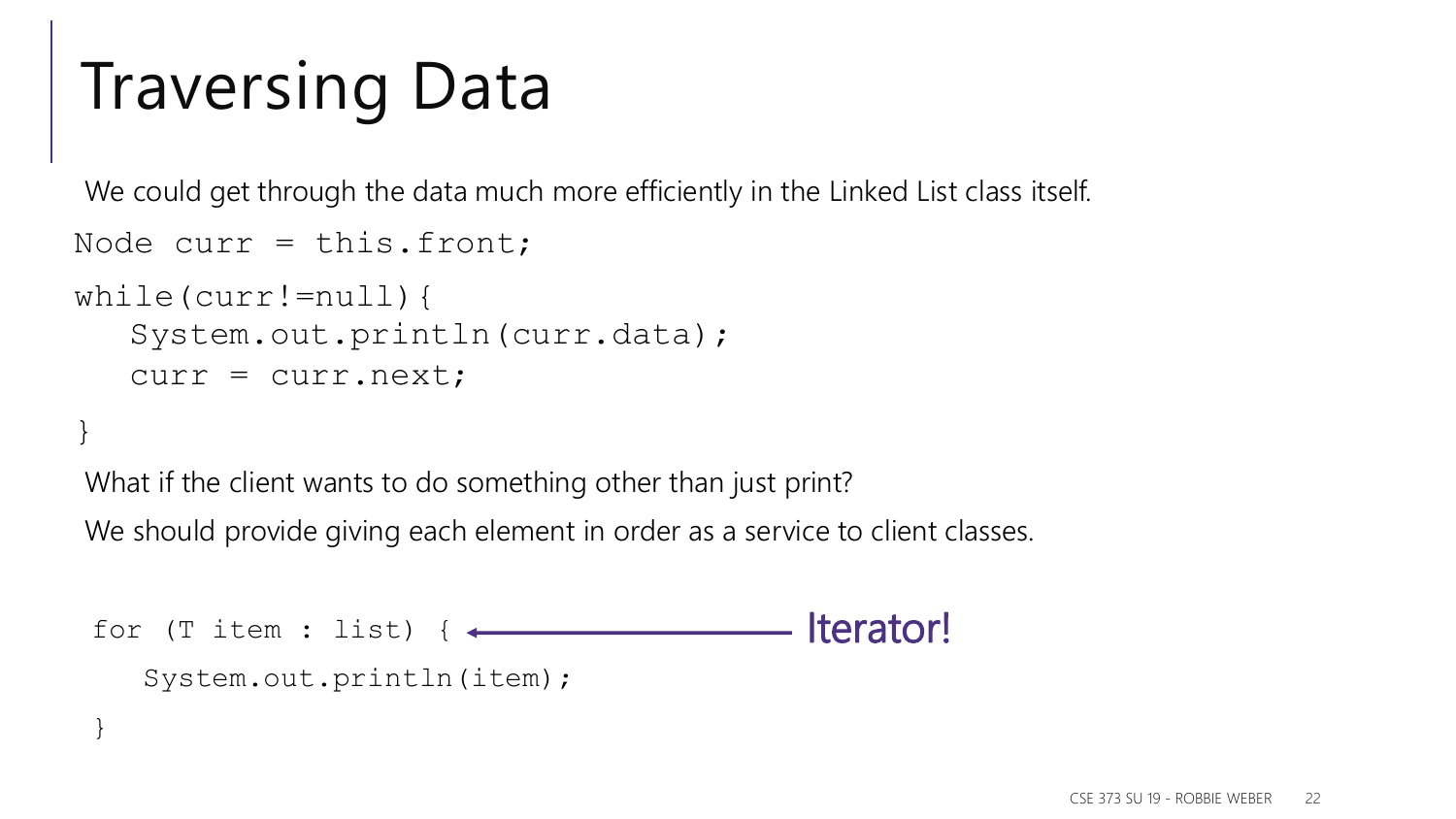# Traversing Data

We could get through the data much more efficiently in the Linked List class itself.

```
Node curr = this. front;
```

```
while(curr!=null){
   System.out.println(curr.data);
   curr = curr.next;
```
#### }

What if the client wants to do something other than just print?

We should provide giving each element in order as a service to client classes.

```
for (T item : list) {
  System.out.println(item);
}
                                Iterator!
```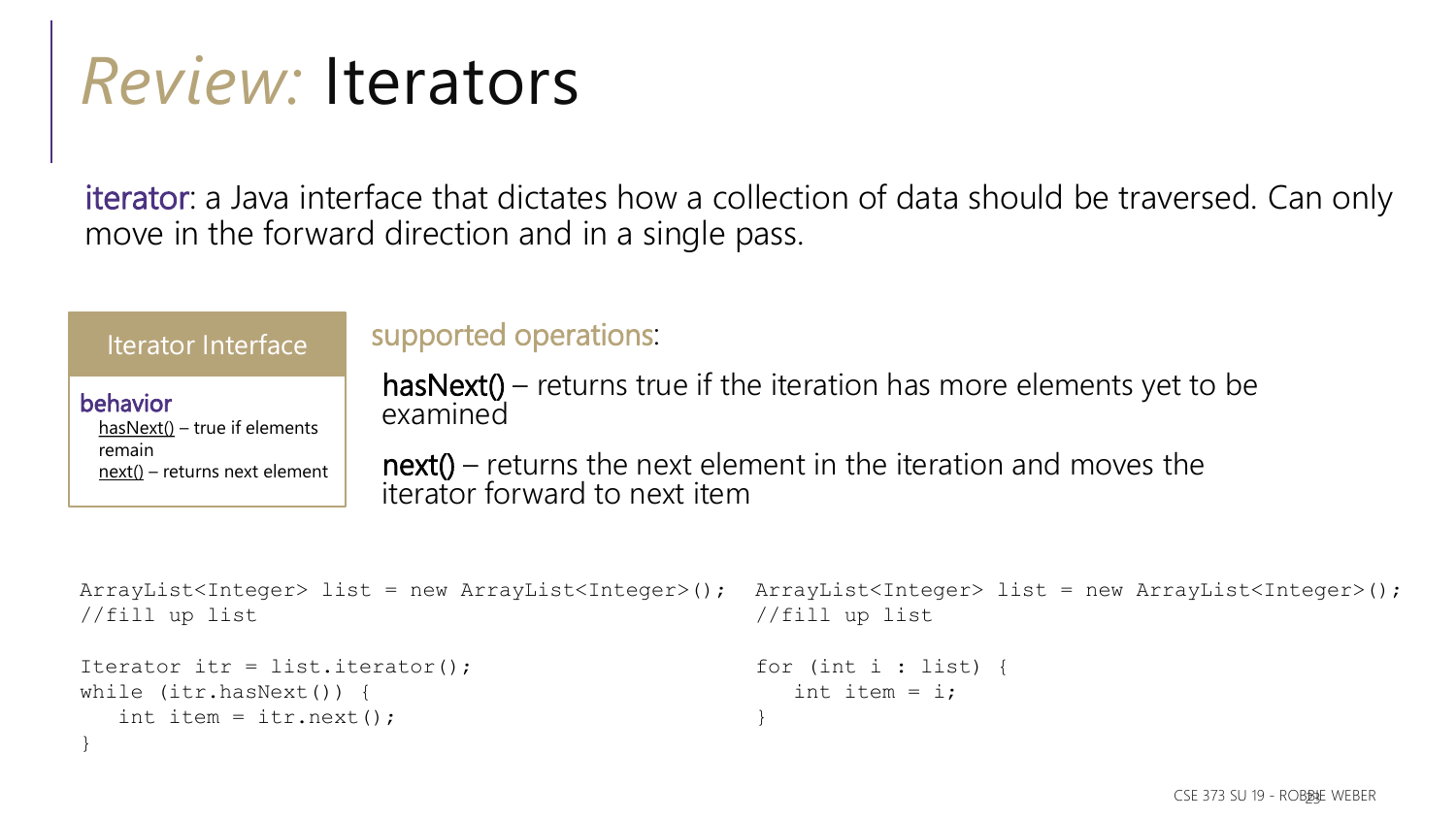### *Review:* Iterators

iterator: a Java interface that dictates how a collection of data should be traversed. Can only move in the forward direction and in a single pass.

| Iterator Interface             |
|--------------------------------|
| behavior                       |
| $hasNext() - true if elements$ |
| remain                         |
| next() – returns next element  |

}

#### supported operations:

hasNext() – returns true if the iteration has more elements yet to be examined

 $next()$  – returns the next element in the iteration and moves the iterator forward to next item

```
ArrayList<Integer> list = new ArrayList<Integer>(); ArrayList<Integer> list = new ArrayList<Integer>();
//fill up list
Iterator itr = list.iterator();
while (itr.hasNext()) {
   int item = itr.next();
                                                      //fill up list
                                                      for (int i : list) {
                                                         int item = i;
                                                      }
```